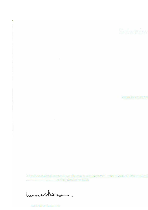**South American** 

potencial manarial respective power prior of the strip is them believed with a construction of the strip of the . A Marian Dre Fre va String

huceethormon.

 $\hat{a}$ 

**September 200 Management State**